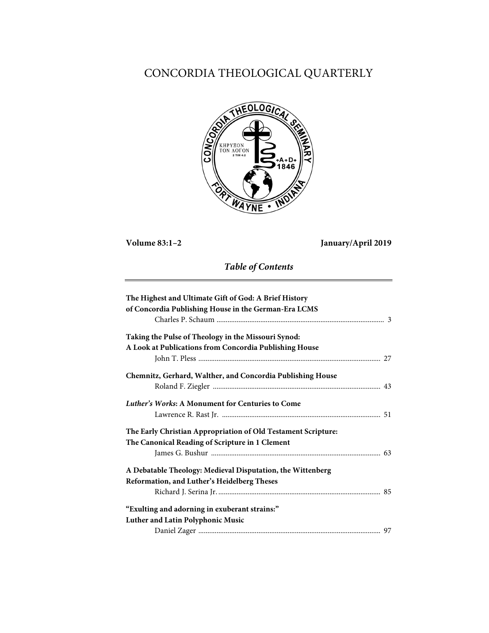# CONCORDIA THEOLOGICAL QUARTERLY



**Volume 83:1–2 January/April 2019**

*Table of Contents*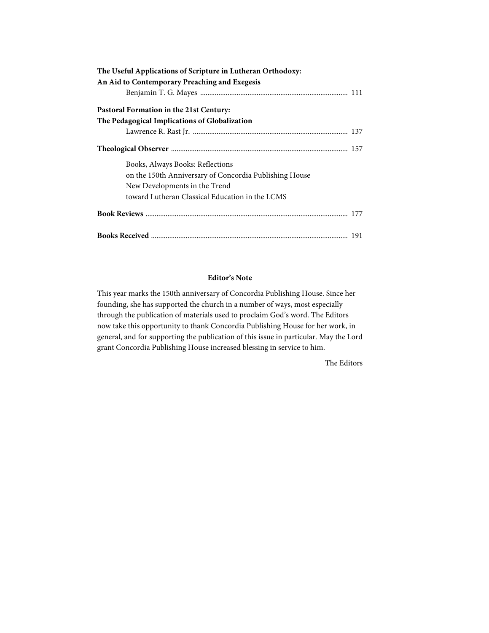| The Useful Applications of Scripture in Lutheran Orthodoxy: |  |
|-------------------------------------------------------------|--|
| An Aid to Contemporary Preaching and Exegesis               |  |
|                                                             |  |
| Pastoral Formation in the 21st Century:                     |  |
| The Pedagogical Implications of Globalization               |  |
|                                                             |  |
|                                                             |  |
| Books, Always Books: Reflections                            |  |
| on the 150th Anniversary of Concordia Publishing House      |  |
| New Developments in the Trend                               |  |
| toward Lutheran Classical Education in the LCMS             |  |
|                                                             |  |
|                                                             |  |

# **Editor's Note**

This year marks the 150th anniversary of Concordia Publishing House. Since her founding, she has supported the church in a number of ways, most especially through the publication of materials used to proclaim God's word. The Editors now take this opportunity to thank Concordia Publishing House for her work, in general, and for supporting the publication of this issue in particular. May the Lord grant Concordia Publishing House increased blessing in service to him.

The Editors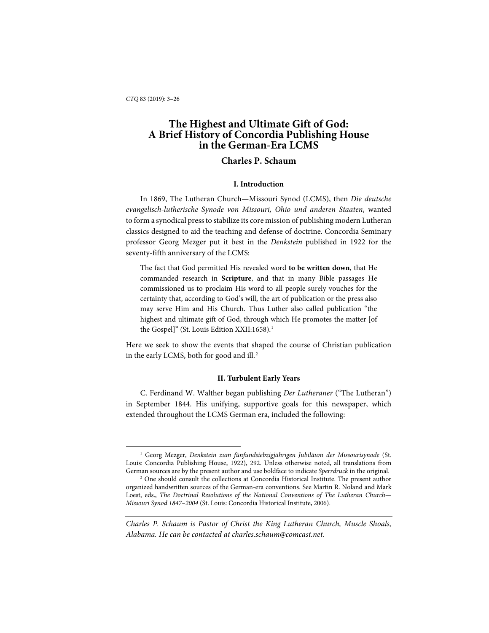-

# **The Highest and Ultimate Gift of God: A Brief History of Concordia Publishing House in the German-Era LCMS**

# **Charles P. Schaum**

## **I. Introduction**

In 1869, The Lutheran Church—Missouri Synod (LCMS), then *Die deutsche evangelisch-lutherische Synode von Missouri, Ohio und anderen Staaten*, wanted to form a synodical press to stabilize its core mission of publishing modern Lutheran classics designed to aid the teaching and defense of doctrine. Concordia Seminary professor Georg Mezger put it best in the *Denkstein* published in 1922 for the seventy-fifth anniversary of the LCMS:

The fact that God permitted His revealed word **to be written down**, that He commanded research in **Scripture**, and that in many Bible passages He commissioned us to proclaim His word to all people surely vouches for the certainty that, according to God's will, the art of publication or the press also may serve Him and His Church. Thus Luther also called publication "the highest and ultimate gift of God, through which He promotes the matter [of the Gospel]" (St. Louis Edition XXII:[1](#page-2-0)658).<sup>1</sup>

Here we seek to show the events that shaped the course of Christian publication in the early LCMS, both for good and ill.<sup>[2](#page-2-1)</sup>

### **II. Turbulent Early Years**

C. Ferdinand W. Walther began publishing *Der Lutheraner* ("The Lutheran") in September 1844. His unifying, supportive goals for this newspaper, which extended throughout the LCMS German era, included the following:

<span id="page-2-0"></span><sup>1</sup> Georg Mezger, *Denkstein zum fünfundsiebzigjährigen Jubiläum der Missourisynode* (St. Louis: Concordia Publishing House, 1922), 292. Unless otherwise noted, all translations from German sources are by the present author and use boldface to indicate *Sperrdruck* in the original.

<span id="page-2-1"></span><sup>2</sup> One should consult the collections at Concordia Historical Institute. The present author organized handwritten sources of the German-era conventions. See Martin R. Noland and Mark Loest, eds., *The Doctrinal Resolutions of the National Conventions of The Lutheran Church— Missouri Synod 1847–2004* (St. Louis: Concordia Historical Institute, 2006).

*Charles P. Schaum is Pastor of Christ the King Lutheran Church, Muscle Shoals, Alabama. He can be contacted at charles.schaum@comcast.net.*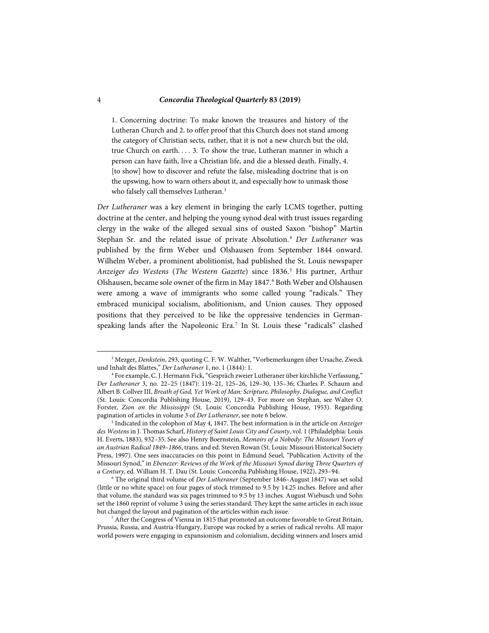1. Concerning doctrine: To make known the treasures and history of the Lutheran Church and 2. to offer proof that this Church does not stand among the category of Christian sects, rather, that it is not a new church but the old, true Church on earth. . . . 3. To show the true, Lutheran manner in which a person can have faith, live a Christian life, and die a blessed death. Finally, 4. [to show] how to discover and refute the false, misleading doctrine that is on the upswing, how to warn others about it, and especially how to unmask those who falsely call themselves Lutheran.<sup>[3](#page-3-0)</sup>

*Der Lutheraner* was a key element in bringing the early LCMS together, putting doctrine at the center, and helping the young synod deal with trust issues regarding clergy in the wake of the alleged sexual sins of ousted Saxon "bishop" Martin Stephan Sr. and the related issue of private Absolution.[4](#page-3-1) *Der Lutheraner* was published by the firm Weber und Olshausen from September 1844 onward. Wilhelm Weber, a prominent abolitionist, had published the St. Louis newspaper *Anzeiger des Westens* (*The Western Gazette*) since 1836.[5](#page-3-2) His partner, Arthur Olshausen, became sole owner of the firm in May 1847.[6](#page-3-3) Both Weber and Olshausen were among a wave of immigrants who some called young "radicals." They embraced municipal socialism, abolitionism, and Union causes. They opposed positions that they perceived to be like the oppressive tendencies in German-speaking lands after the Napoleonic Era.<sup>[7](#page-3-4)</sup> In St. Louis these "radicals" clashed

<span id="page-3-0"></span><sup>&</sup>lt;sup>3</sup> Mezger, *Denkstein*, 293, quoting C. F. W. Walther, "Vorbemerkungen über Ursache, Zweck und Inhalt des Blattes," *Der Lutheraner* 1, no. 1 (1844): 1.

<span id="page-3-1"></span><sup>4</sup> For example, C. J. Hermann Fick, "Gespräch zweier Lutheraner über kirchliche Verfassung," *Der Lutheraner* 3, no. 22–25 (1847): 119–21, 125–26, 129–30, 135–36; Charles P. Schaum and Albert B. Collver III, *Breath of God, Yet Work of Man: Scripture, Philosophy, Dialogue, and Conflict* (St. Louis: Concordia Publishing House, 2019), 129–43. For more on Stephan, see Walter O. Forster, *Zion on the Mississippi* (St. Louis: Concordia Publishing House, 1953). Regarding pagination of articles in volume 3 of *Der Lutheraner*, see note 6 below.

<span id="page-3-2"></span><sup>5</sup> Indicated in the colophon of May 4, 1847. The best information is in the article on *Anzeiger des Westens* in J. Thomas Scharf, *History of Saint Louis City and County*, vol. 1 (Philadelphia: Louis H. Everts, 1883), 932–35. See also Henry Boernstein, *Memoirs of a Nobody: The Missouri Years of an Austrian Radical 1849–1866*, trans. and ed. Steven Rowan (St. Louis: Missouri Historical Society Press, 1997). One sees inaccuracies on this point in Edmund Seuel, "Publication Activity of the Missouri Synod," in *Ebenezer: Reviews of the Work of the Missouri Synod during Three Quarters of a Century*, ed. William H. T. Dau (St. Louis: Concordia Publishing House, 1922), 293–94.

<span id="page-3-3"></span><sup>6</sup> The original third volume of *Der Lutheraner* (September 1846–August 1847) was set solid (little or no white space) on four pages of stock trimmed to 9.5 by 14.25 inches. Before and after that volume, the standard was six pages trimmed to 9.5 by 13 inches. August Wiebusch und Sohn set the 1860 reprint of volume 3 using the series standard. They kept the same articles in each issue but changed the layout and pagination of the articles within each issue.

<span id="page-3-4"></span>After the Congress of Vienna in 1815 that promoted an outcome favorable to Great Britain, Prussia, Russia, and Austria-Hungary, Europe was rocked by a series of radical revolts. All major world powers were engaging in expansionism and colonialism, deciding winners and losers amid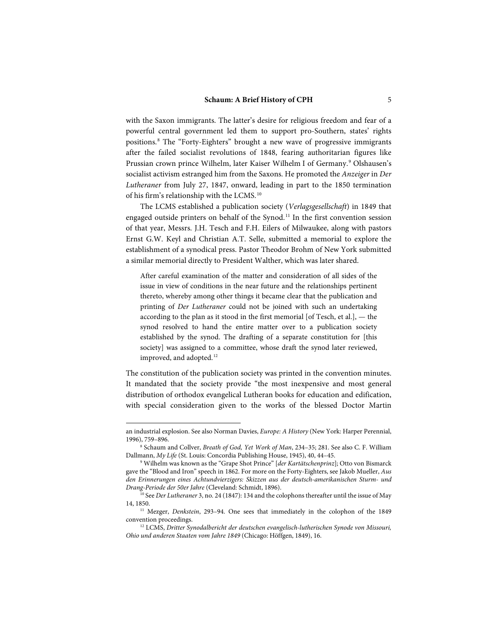with the Saxon immigrants. The latter's desire for religious freedom and fear of a powerful central government led them to support pro-Southern, states' rights positions.[8](#page-4-0) The "Forty-Eighters" brought a new wave of progressive immigrants after the failed socialist revolutions of 1848, fearing authoritarian figures like Prussian crown prince Wilhelm, later Kaiser Wilhelm I of Germany.[9](#page-4-1) Olshausen's socialist activism estranged him from the Saxons. He promoted the *Anzeiger* in *Der Lutheraner* from July 27, 1847, onward, leading in part to the 1850 termination of his firm's relationship with the LCMS. [10](#page-4-2)

The LCMS established a publication society (*Verlagsgesellschaft*) in 1849 that engaged outside printers on behalf of the Synod.<sup>[11](#page-4-3)</sup> In the first convention session of that year, Messrs. J.H. Tesch and F.H. Eilers of Milwaukee, along with pastors Ernst G.W. Keyl and Christian A.T. Selle, submitted a memorial to explore the establishment of a synodical press. Pastor Theodor Brohm of New York submitted a similar memorial directly to President Walther, which was later shared.

After careful examination of the matter and consideration of all sides of the issue in view of conditions in the near future and the relationships pertinent thereto, whereby among other things it became clear that the publication and printing of *Der Lutheraner* could not be joined with such an undertaking according to the plan as it stood in the first memorial [of Tesch, et al.], — the synod resolved to hand the entire matter over to a publication society established by the synod. The drafting of a separate constitution for [this society] was assigned to a committee, whose draft the synod later reviewed, improved, and adopted.<sup>[12](#page-4-4)</sup>

The constitution of the publication society was printed in the convention minutes. It mandated that the society provide "the most inexpensive and most general distribution of orthodox evangelical Lutheran books for education and edification, with special consideration given to the works of the blessed Doctor Martin

an industrial explosion. See also Norman Davies, *Europe: A History* (New York: Harper Perennial, 1996), 759–896.

<span id="page-4-0"></span><sup>8</sup> Schaum and Collver, *Breath of God, Yet Work of Man*, 234–35; 281. See also C. F. William Dallmann, *My Life* (St. Louis: Concordia Publishing House, 1945), 40, 44–45.

<span id="page-4-1"></span><sup>9</sup> Wilhelm was known as the "Grape Shot Prince" [*der Kartätschenprinz*]; Otto von Bismarck gave the "Blood and Iron" speech in 1862. For more on the Forty-Eighters, see Jakob Mueller, *Aus den Erinnerungen eines Achtundvierzigers: Skizzen aus der deutsch-amerikanischen Sturm- und* 

<span id="page-4-2"></span><sup>&</sup>lt;sup>10</sup> See *Der Lutheraner* 3, no. 24 (1847): 134 and the colophons thereafter until the issue of May 14, 1850.

<span id="page-4-3"></span><sup>&</sup>lt;sup>11</sup> Mezger, *Denkstein*, 293-94. One sees that immediately in the colophon of the 1849 convention proceedings.

<span id="page-4-4"></span><sup>&</sup>lt;sup>12</sup> LCMS, Dritter Synodalbericht der deutschen evangelisch-lutherischen Synode von Missouri, *Ohio und anderen Staaten vom Jahre 1849* (Chicago: Höffgen, 1849), 16.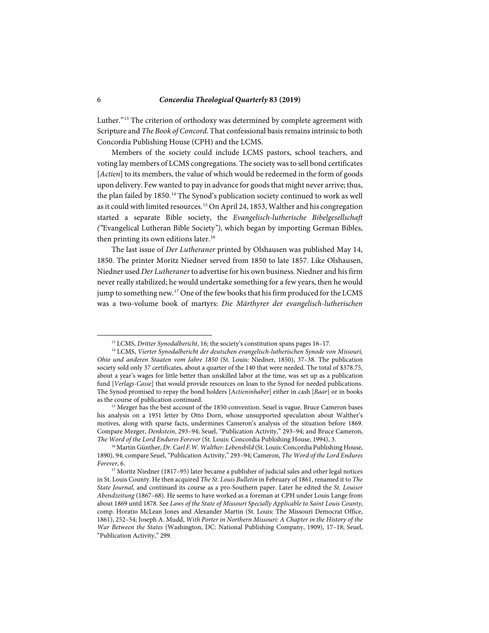Luther."[13](#page-5-0) The criterion of orthodoxy was determined by complete agreement with Scripture and *The Book of Concord*. That confessional basis remains intrinsic to both Concordia Publishing House (CPH) and the LCMS.

Members of the society could include LCMS pastors, school teachers, and voting lay members of LCMS congregations. The society was to sell bond certificates [*Actien*] to its members, the value of which would be redeemed in the form of goods upon delivery. Few wanted to pay in advance for goods that might never arrive; thus, the plan failed by 1850.<sup>[14](#page-5-1)</sup> The Synod's publication society continued to work as well as it could with limited resources.<sup>[15](#page-5-2)</sup> On April 24, 1853, Walther and his congregation started a separate Bible society, the *Evangelisch-lutherische Bibelgesellschaft ("*Evangelical Lutheran Bible Society*")*, which began by importing German Bibles, then printing its own editions later.<sup>[16](#page-5-3)</sup>

The last issue of *Der Lutheraner* printed by Olshausen was published May 14, 1850. The printer Moritz Niedner served from 1850 to late 1857. Like Olshausen, Niedner used *Der Lutheraner*to advertise for his own business. Niedner and his firm never really stabilized; he would undertake something for a few years, then he would jump to something new.<sup>[17](#page-5-4)</sup> One of the few books that his firm produced for the LCMS was a two-volume book of martyrs: *Die Märthyrer der evangelisch-lutherischen* 

<sup>13</sup> LCMS, *Dritter Synodalbericht*, 16; the society's constitution spans pages 16–17.

<span id="page-5-1"></span><span id="page-5-0"></span><sup>&</sup>lt;sup>14</sup> LCMS, Vierter Synodalbericht der deutschen evangelisch-lutherischen Synode von Missouri, *Ohio und anderen Staaten vom Jahre 1850* (St. Louis: Niedner, 1850), 37–38. The publication society sold only 37 certificates, about a quarter of the 140 that were needed. The total of \$378.75, about a year's wages for little better than unskilled labor at the time, was set up as a publication fund [*Verlags-Casse*] that would provide resources on loan to the Synod for needed publications. The Synod promised to repay the bond holders [*Actieninhaber*] either in cash [*Baar*] or in books as the course of publication continued.

<span id="page-5-2"></span><sup>&</sup>lt;sup>15</sup> Mezger has the best account of the 1850 convention. Seuel is vague. Bruce Cameron bases his analysis on a 1951 letter by Otto Dorn, whose unsupported speculation about Walther's motives, along with sparse facts, undermines Cameron's analysis of the situation before 1869. Compare Mezger, *Denkstein*, 293–94; Seuel, "Publication Activity," 293–94; and Bruce Cameron, *The Word of the Lord Endures Forever* (St. Louis: Concordia Publishing House, 1994), 3.

<span id="page-5-3"></span><sup>&</sup>lt;sup>16</sup> Martin Günther, *Dr. Carl F.W. Walther: Lebensbild* (St. Louis: Concordia Publishing House, 1890), 94; compare Seuel, "Publication Activity," 293–94; Cameron, *The Word of the Lord Endures Forever*, 6.

<span id="page-5-4"></span><sup>&</sup>lt;sup>17</sup> Moritz Niedner (1817–95) later became a publisher of judicial sales and other legal notices in St. Louis County. He then acquired *The St. Louis Bulletin* in February of 1861, renamed it to *The State Journal*, and continued its course as a pro-Southern paper. Later he edited the *St. Louiser Abendzeitung* (1867–68). He seems to have worked as a foreman at CPH under Louis Lange from about 1869 until 1878. See *Laws of the State of Missouri Specially Applicable to Saint Louis County*, comp. Horatio McLean Jones and Alexander Martin (St. Louis: The Missouri Democrat Office, 1861), 252–54; Joseph A. Mudd, *With Porter in Northern Missouri: A Chapter in the History of the War Between the States* (Washington, DC: National Publishing Company, 1909), 17–18; Seuel, "Publication Activity," 299.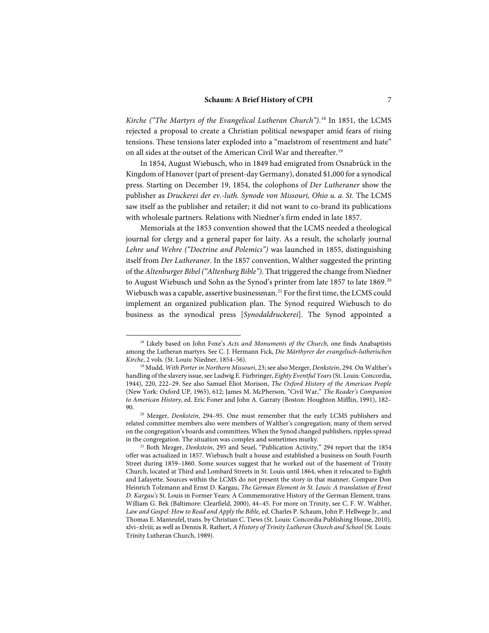*Kirche ("The Martyrs of the Evangelical Lutheran Church")*. [18](#page-6-0) In 1851, the LCMS rejected a proposal to create a Christian political newspaper amid fears of rising tensions. These tensions later exploded into a "maelstrom of resentment and hate" on all sides at the outset of the American Civil War and thereafter.<sup>[19](#page-6-1)</sup>

In 1854, August Wiebusch, who in 1849 had emigrated from Osnabrück in the Kingdom of Hanover (part of present-day Germany), donated \$1,000 for a synodical press. Starting on December 19, 1854, the colophons of *Der Lutheraner* show the publisher as *Druckerei der ev.-luth. Synode von Missouri, Ohio u. a. St.* The LCMS saw itself as the publisher and retailer; it did not want to co-brand its publications with wholesale partners. Relations with Niedner's firm ended in late 1857.

Memorials at the 1853 convention showed that the LCMS needed a theological journal for clergy and a general paper for laity. As a result, the scholarly journal *Lehre und Wehre ("Doctrine and Polemics")* was launched in 1855, distinguishing itself from *Der Lutheraner*. In the 1857 convention, Walther suggested the printing of the *Altenburger Bibel ("Altenburg Bible")*. That triggered the change from Niedner to August Wiebusch und Sohn as the Synod's printer from late 1857 to late 1869.<sup>[20](#page-6-2)</sup> Wiebusch was a capable, assertive businessman.<sup>[21](#page-6-3)</sup> For the first time, the LCMS could implement an organized publication plan. The Synod required Wiebusch to do business as the synodical press [*Synodaldruckerei*]. The Synod appointed a

<span id="page-6-0"></span><sup>18</sup> Likely based on John Foxe's *Acts and Monuments of the Church*, one finds Anabaptists among the Lutheran martyrs. See C. J. Hermann Fick, *Die Märthyrer der evangelisch-lutherischen Kirche*, 2 vols. (St. Louis: Niedner, 1854–56).

<span id="page-6-1"></span><sup>19</sup> Mudd, *With Porter in Northern Missouri*, 23; see also Mezger, *Denkstein*, 294. On Walther's handling of the slavery issue, see Ludwig E. Fürbringer, *Eighty Eventful Years* (St. Louis: Concordia, 1944), 220, 222–29. See also Samuel Eliot Morison, *The Oxford History of the American People* (New York: Oxford UP, 1965), 612; James M. McPherson, "Civil War," *The Reader's Companion to American History*, ed. Eric Foner and John A. Garraty (Boston: Houghton Mifflin, 1991), 182– 90.

<span id="page-6-2"></span><sup>20</sup> Mezger, *Denkstein*, 294–95. One must remember that the early LCMS publishers and related committee members also were members of Walther's congregation; many of them served on the congregation's boards and committees. When the Synod changed publishers, ripples spread in the congregation. The situation was complex and sometimes murky.

<span id="page-6-3"></span><sup>&</sup>lt;sup>21</sup> Both Mezger, *Denkstein*, 295 and Seuel, "Publication Activity," 294 report that the 1854 offer was actualized in 1857. Wiebusch built a house and established a business on South Fourth Street during 1859–1860. Some sources suggest that he worked out of the basement of Trinity Church, located at Third and Lombard Streets in St. Louis until 1864, when it relocated to Eighth and Lafayette. Sources within the LCMS do not present the story in that manner. Compare Don Heinrich Tolzmann and Ernst D. Kargau, *The German Element in St. Louis: A translation of Ernst D. Kargau's* St. Louis in Former Years: A Commemorative History of the German Element, trans. William G. Bek (Baltimore: Clearfield, 2000), 44–45. For more on Trinity, see C. F. W. Walther, *Law and Gospel: How to Read and Apply the Bible,* ed. Charles P. Schaum, John P. Hellwege Jr., and Thomas E. Manteufel, trans. by Christian C. Tiews (St. Louis: Concordia Publishing House, 2010)*,* xlvi–xlviii; as well as Dennis R. Rathert, *A History of Trinity Lutheran Church and School* (St. Louis: Trinity Lutheran Church, 1989).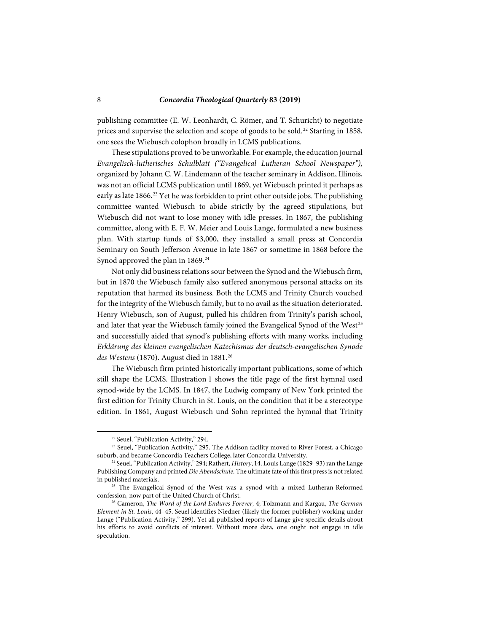publishing committee (E. W. Leonhardt, C. Römer, and T. Schuricht) to negotiate prices and supervise the selection and scope of goods to be sold.<sup>[22](#page-7-0)</sup> Starting in 1858, one sees the Wiebusch colophon broadly in LCMS publications.

These stipulations proved to be unworkable. For example, the education journal *Evangelisch-lutherisches Schulblatt ("Evangelical Lutheran School Newspaper"),* organized by Johann C. W. Lindemann of the teacher seminary in Addison, Illinois, was not an official LCMS publication until 1869, yet Wiebusch printed it perhaps as early as late  $1866$ <sup>[23](#page-7-1)</sup> Yet he was forbidden to print other outside jobs. The publishing committee wanted Wiebusch to abide strictly by the agreed stipulations, but Wiebusch did not want to lose money with idle presses. In 1867, the publishing committee, along with E. F. W. Meier and Louis Lange, formulated a new business plan. With startup funds of \$3,000, they installed a small press at Concordia Seminary on South Jefferson Avenue in late 1867 or sometime in 1868 before the Synod approved the plan in 1869.<sup>[24](#page-7-2)</sup>

Not only did business relations sour between the Synod and the Wiebusch firm, but in 1870 the Wiebusch family also suffered anonymous personal attacks on its reputation that harmed its business. Both the LCMS and Trinity Church vouched for the integrity of the Wiebusch family, but to no avail as the situation deteriorated. Henry Wiebusch, son of August, pulled his children from Trinity's parish school, and later that year the Wiebusch family joined the Evangelical Synod of the West<sup>[25](#page-7-3)</sup> and successfully aided that synod's publishing efforts with many works, including *Erklärung des kleinen evangelischen Katechismus der deutsch-evangelischen Synode*  des Westens (1870). August died in 1881.<sup>[26](#page-7-4)</sup>

The Wiebusch firm printed historically important publications, some of which still shape the LCMS. Illustration 1 shows the title page of the first hymnal used synod-wide by the LCMS. In 1847, the Ludwig company of New York printed the first edition for Trinity Church in St. Louis, on the condition that it be a stereotype edition. In 1861, August Wiebusch und Sohn reprinted the hymnal that Trinity

<sup>&</sup>lt;sup>22</sup> Seuel, "Publication Activity," 294.

<span id="page-7-1"></span><span id="page-7-0"></span><sup>&</sup>lt;sup>23</sup> Seuel, "Publication Activity," 295. The Addison facility moved to River Forest, a Chicago suburb, and became Concordia Teachers College, later Concordia University.

<span id="page-7-2"></span><sup>24</sup> Seuel, "Publication Activity," 294; Rathert, *History*, 14. Louis Lange (1829–93) ran the Lange Publishing Company and printed *Die Abendschule*. The ultimate fate of this first press is not related in published materials.

<span id="page-7-3"></span><sup>&</sup>lt;sup>25</sup> The Evangelical Synod of the West was a synod with a mixed Lutheran-Reformed confession, now part of the United Church of Christ.

<span id="page-7-4"></span><sup>26</sup> Cameron, *The Word of the Lord Endures Forever*, 4; Tolzmann and Kargau, *The German Element in St. Louis*, 44–45. Seuel identifies Niedner (likely the former publisher) working under Lange ("Publication Activity," 299). Yet all published reports of Lange give specific details about his efforts to avoid conflicts of interest. Without more data, one ought not engage in idle speculation.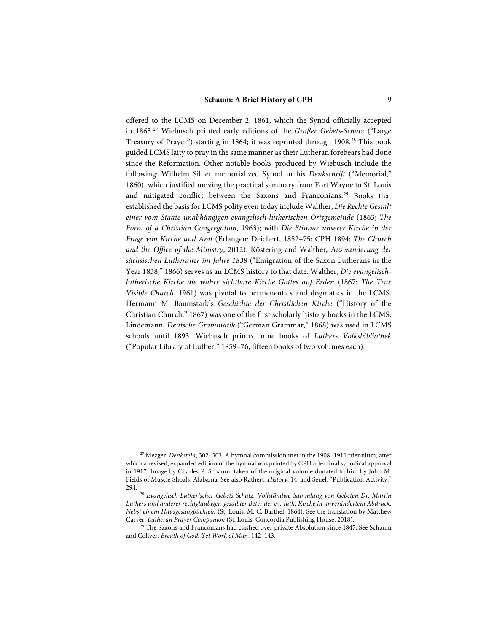offered to the LCMS on December 2, 1861, which the Synod officially accepted in 1863.[27](#page-8-0) Wiebusch printed early editions of the *Großer Gebets-Schatz* ("Large Treasury of Prayer") starting in 1864; it was reprinted through 1908.[28](#page-8-1) This book guided LCMS laity to pray in the same manner as their Lutheran forebears had done since the Reformation. Other notable books produced by Wiebusch include the following: Wilhelm Sihler memorialized Synod in his *Denkschrift* ("Memorial," 1860), which justified moving the practical seminary from Fort Wayne to St. Louis and mitigated conflict between the Saxons and Franconians.<sup>[29](#page-8-2)</sup> Books that established the basis for LCMS polity even today include Walther, *Die Rechte Gestalt einer vom Staate unabhängigen evangelisch-lutherischen Ortsgemeinde* (1863; *The Form of a Christian Congregation*, 1963); with *Die Stimme unserer Kirche in der Frage von Kirche und Amt* (Erlangen: Deichert, 1852–75; CPH 1894; *The Church and the Office of the Ministry*, 2012). Köstering and Walther, *Auswanderung der sächsischen Lutheraner im Jahre 1838* ("Emigration of the Saxon Lutherans in the Year 1838," 1866) serves as an LCMS history to that date. Walther, *Die evangelischlutherische Kirche die wahre sichtbare Kirche Gottes auf Erden* (1867; *The True Visible Church*, 1961) was pivotal to hermeneutics and dogmatics in the LCMS. Hermann M. Baumstark's *Geschichte der Christlichen Kirche* ("History of the Christian Church," 1867) was one of the first scholarly history books in the LCMS. Lindemann, *Deutsche Grammatik* ("German Grammar," 1868) was used in LCMS schools until 1893. Wiebusch printed nine books of *Luthers Volksbibliothek* ("Popular Library of Luther," 1859–76, fifteen books of two volumes each).

<span id="page-8-0"></span><sup>27</sup> Mezger, *Denkstein*, 302–303. A hymnal commission met in the 1908–1911 triennium, after which a revised, expanded edition of the hymnal was printed by CPH after final synodical approval in 1917. Image by Charles P. Schaum, taken of the original volume donated to him by John M. Fields of Muscle Shoals, Alabama. See also Rathert, *History*, 14; and Seuel, "Publication Activity," 294.

<span id="page-8-1"></span><sup>28</sup> *Evangelisch-Lutherischer Gebets-Schatz: Vollständige Sammlung von Gebeten Dr. Martin Luthers und anderer rechtgläubiger, gesalbter Beter der ev.-luth. Kirche in unverändertem Abdruck. Nebst einem Hausgesangbüchlein* (St. Louis: M. C. Barthel, 1864). See the translation by Matthew Carver, *Lutheran Prayer Companion* (St. Louis: Concordia Publishing House, 2018).

<span id="page-8-2"></span><sup>&</sup>lt;sup>29</sup> The Saxons and Franconians had clashed over private Absolution since 1847. See Schaum and Collver, *Breath of God, Yet Work of Man*, 142–143.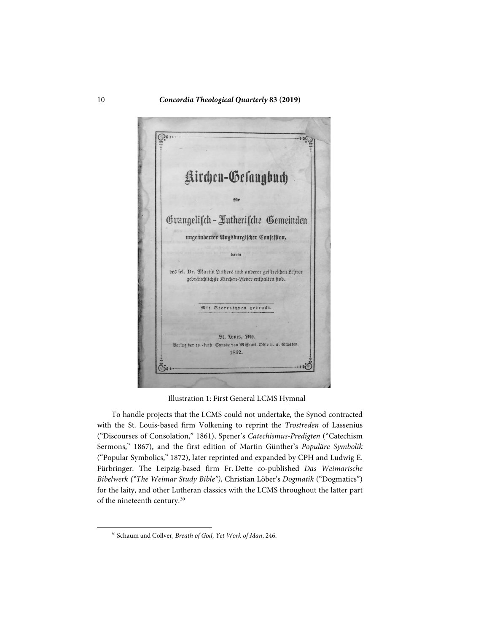

Illustration 1: First General LCMS Hymnal

To handle projects that the LCMS could not undertake, the Synod contracted with the St. Louis-based firm Volkening to reprint the *Trostreden* of Lassenius ("Discourses of Consolation," 1861), Spener's *Catechismus-Predigten* ("Catechism Sermons," 1867), and the first edition of Martin Günther's *Populäre Symbolik* ("Popular Symbolics," 1872), later reprinted and expanded by CPH and Ludwig E. Fürbringer. The Leipzig-based firm Fr. Dette co-published *Das Weimarische Bibelwerk ("The Weimar Study Bible")*, Christian Löber's *Dogmatik* ("Dogmatics") for the laity, and other Lutheran classics with the LCMS throughout the latter part of the nineteenth century.[30](#page-9-0)

<span id="page-9-0"></span><sup>30</sup> Schaum and Collver, *Breath of God, Yet Work of Man*, 246.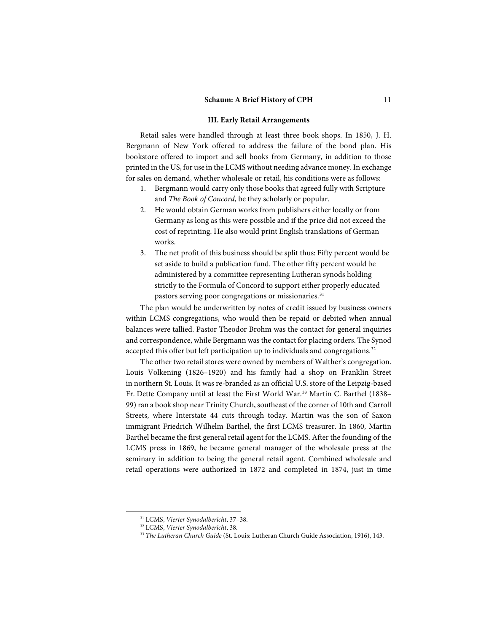#### **III. Early Retail Arrangements**

Retail sales were handled through at least three book shops. In 1850, J. H. Bergmann of New York offered to address the failure of the bond plan. His bookstore offered to import and sell books from Germany, in addition to those printed in the US, for use in the LCMS without needing advance money. In exchange for sales on demand, whether wholesale or retail, his conditions were as follows:

- 1. Bergmann would carry only those books that agreed fully with Scripture and *The Book of Concord*, be they scholarly or popular.
- 2. He would obtain German works from publishers either locally or from Germany as long as this were possible and if the price did not exceed the cost of reprinting. He also would print English translations of German works.
- 3. The net profit of this business should be split thus: Fifty percent would be set aside to build a publication fund. The other fifty percent would be administered by a committee representing Lutheran synods holding strictly to the Formula of Concord to support either properly educated pastors serving poor congregations or missionaries.<sup>[31](#page-10-0)</sup>

The plan would be underwritten by notes of credit issued by business owners within LCMS congregations, who would then be repaid or debited when annual balances were tallied. Pastor Theodor Brohm was the contact for general inquiries and correspondence, while Bergmann was the contact for placing orders. The Synod accepted this offer but left participation up to individuals and congregations.<sup>[32](#page-10-1)</sup>

The other two retail stores were owned by members of Walther's congregation. Louis Volkening (1826–1920) and his family had a shop on Franklin Street in northern St. Louis. It was re-branded as an official U.S. store of the Leipzig-based Fr. Dette Company until at least the First World War.[33](#page-10-2) Martin C. Barthel (1838– 99) ran a book shop near Trinity Church, southeast of the corner of 10th and Carroll Streets, where Interstate 44 cuts through today. Martin was the son of Saxon immigrant Friedrich Wilhelm Barthel, the first LCMS treasurer. In 1860, Martin Barthel became the first general retail agent for the LCMS. After the founding of the LCMS press in 1869, he became general manager of the wholesale press at the seminary in addition to being the general retail agent. Combined wholesale and retail operations were authorized in 1872 and completed in 1874, just in time

<sup>31</sup> LCMS, *Vierter Synodalbericht*, 37–38.

<span id="page-10-2"></span><span id="page-10-1"></span><span id="page-10-0"></span><sup>32</sup> LCMS, *Vierter Synodalbericht*, 38.

<sup>33</sup> *The Lutheran Church Guide* (St. Louis: Lutheran Church Guide Association, 1916), 143.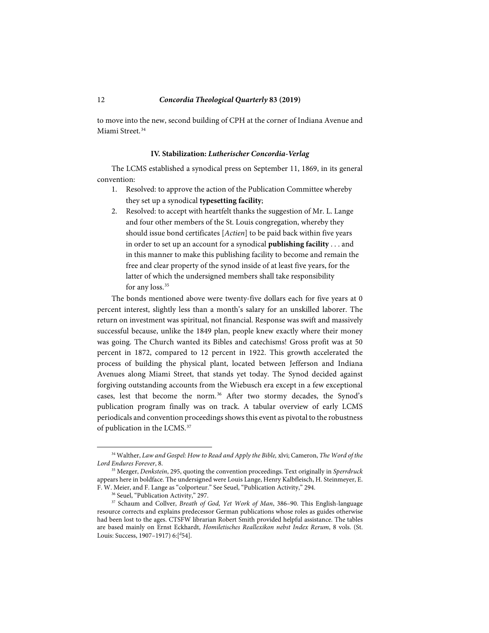to move into the new, second building of CPH at the corner of Indiana Avenue and Miami Street.<sup>[34](#page-11-0)</sup>

#### **IV. Stabilization:** *Lutherischer Concordia-Verlag*

The LCMS established a synodical press on September 11, 1869, in its general convention:

- 1. Resolved: to approve the action of the Publication Committee whereby they set up a synodical **typesetting facility**;
- 2. Resolved: to accept with heartfelt thanks the suggestion of Mr. L. Lange and four other members of the St. Louis congregation, whereby they should issue bond certificates [*Actien*] to be paid back within five years in order to set up an account for a synodical **publishing facility** . . . and in this manner to make this publishing facility to become and remain the free and clear property of the synod inside of at least five years, for the latter of which the undersigned members shall take responsibility for any loss.<sup>[35](#page-11-1)</sup>

The bonds mentioned above were twenty-five dollars each for five years at 0 percent interest, slightly less than a month's salary for an unskilled laborer. The return on investment was spiritual, not financial. Response was swift and massively successful because, unlike the 1849 plan, people knew exactly where their money was going. The Church wanted its Bibles and catechisms! Gross profit was at 50 percent in 1872, compared to 12 percent in 1922. This growth accelerated the process of building the physical plant, located between Jefferson and Indiana Avenues along Miami Street, that stands yet today. The Synod decided against forgiving outstanding accounts from the Wiebusch era except in a few exceptional cases, lest that become the norm.<sup>[36](#page-11-2)</sup> After two stormy decades, the Synod's publication program finally was on track. A tabular overview of early LCMS periodicals and convention proceedings shows this event as pivotal to the robustness of publication in the LCMS. [37](#page-11-3)

<span id="page-11-0"></span><sup>34</sup> Walther, *Law and Gospel: How to Read and Apply the Bible,* xlvi; Cameron, *The Word of the Lord Endures Forever*, 8.

<span id="page-11-1"></span><sup>35</sup> Mezger, *Denkstein*, 295, quoting the convention proceedings. Text originally in *Sperrdruck* appears here in boldface. The undersigned were Louis Lange, Henry Kalbfleisch, H. Steinmeyer, E. F. W. Meier, and F. Lange as "colporteur." See Seuel, "Publication Activity," 294. 36 Seuel, "Publication Activity," 297.

<span id="page-11-3"></span><span id="page-11-2"></span><sup>37</sup> Schaum and Collver, *Breath of God, Yet Work of Man*, 386–90. This English-language resource corrects and explains predecessor German publications whose roles as guides otherwise had been lost to the ages. CTSFW librarian Robert Smith provided helpful assistance. The tables are based mainly on Ernst Eckhardt, *Homiletisches Reallexikon nebst Index Rerum*, 8 vols. (St. Louis: Success, 1907–1917) 6:[<sup>d</sup>54].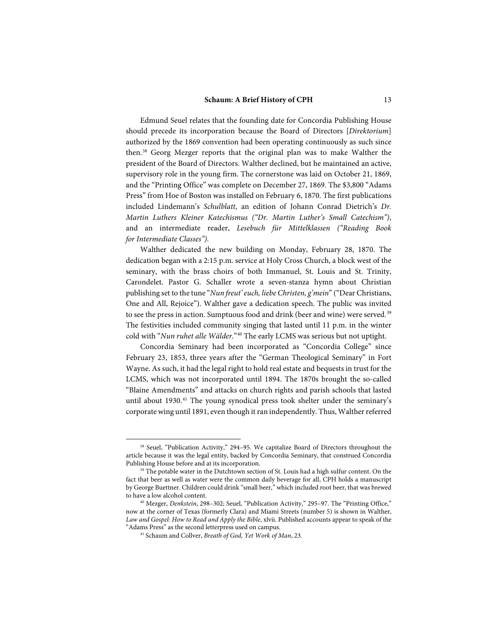Edmund Seuel relates that the founding date for Concordia Publishing House should precede its incorporation because the Board of Directors [*Direktorium*] authorized by the 1869 convention had been operating continuously as such since then.[38](#page-12-0) Georg Mezger reports that the original plan was to make Walther the president of the Board of Directors. Walther declined, but he maintained an active, supervisory role in the young firm. The cornerstone was laid on October 21, 1869, and the "Printing Office" was complete on December 27, 1869. The \$3,800 "Adams Press" from Hoe of Boston was installed on February 6, 1870. The first publications included Lindemann's *Schulblatt*, an edition of Johann Conrad Dietrich's *Dr. Martin Luthers Kleiner Katechismus ("Dr. Martin Luther's Small Catechism")*, and an intermediate reader, *Lesebuch für Mittelklassen ("Reading Book for Intermediate Classes")*.

Walther dedicated the new building on Monday, February 28, 1870. The dedication began with a 2:15 p.m. service at Holy Cross Church, a block west of the seminary, with the brass choirs of both Immanuel, St. Louis and St. Trinity, Carondelet. Pastor G. Schaller wrote a seven-stanza hymn about Christian publishing set to the tune "*Nun freut' euch, liebe Christen, g'mein*" ("Dear Christians, One and All, Rejoice"). Walther gave a dedication speech. The public was invited to see the press in action. Sumptuous food and drink (beer and wine) were served. [39](#page-12-1) The festivities included community singing that lasted until 11 p.m. in the winter cold with "*Nun ruhet alle Wälder*."[40](#page-12-2) The early LCMS was serious but not uptight.

Concordia Seminary had been incorporated as "Concordia College" since February 23, 1853, three years after the "German Theological Seminary" in Fort Wayne. As such, it had the legal right to hold real estate and bequests in trust for the LCMS, which was not incorporated until 1894. The 1870s brought the so-called "Blaine Amendments" and attacks on church rights and parish schools that lasted until about 1930.<sup>[41](#page-12-3)</sup> The young synodical press took shelter under the seminary's corporate wing until 1891, even though it ran independently. Thus, Walther referred

<span id="page-12-0"></span><sup>&</sup>lt;sup>38</sup> Seuel, "Publication Activity," 294-95. We capitalize Board of Directors throughout the article because it was the legal entity, backed by Concordia Seminary, that construed Concordia Publishing House before and at its incorporation.

<span id="page-12-1"></span><sup>&</sup>lt;sup>39</sup> The potable water in the Dutchtown section of St. Louis had a high sulfur content. On the fact that beer as well as water were the common daily beverage for all, CPH holds a manuscript by George Buettner. Children could drink "small beer," which included root beer, that was brewed to have a low alcohol content.

<span id="page-12-3"></span><span id="page-12-2"></span><sup>&</sup>lt;sup>40</sup> Mezger, *Denkstein*, 298-302; Seuel, "Publication Activity," 295-97. The "Printing Office," now at the corner of Texas (formerly Clara) and Miami Streets (number 5) is shown in Walther, Law and Gospel: How to Read and Apply the Bible, xlvii. Published accounts appear to speak of the "Adams Press" as the second letterpress used on campus.

<sup>&</sup>lt;sup>41</sup> Schaum and Collver, *Breath of God, Yet Work of Man*, 23.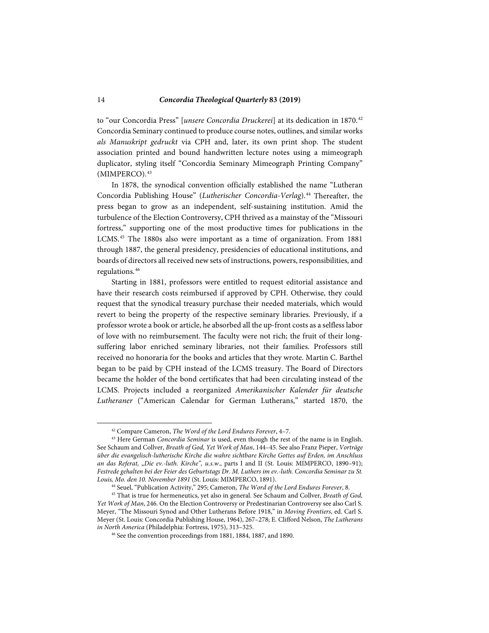to "our Concordia Press" [*unsere Concordia Druckerei*] at its dedication in 1870.[42](#page-13-0) Concordia Seminary continued to produce course notes, outlines, and similar works *als Manuskript gedruckt* via CPH and, later, its own print shop. The student association printed and bound handwritten lecture notes using a mimeograph duplicator, styling itself "Concordia Seminary Mimeograph Printing Company" (MIMPERCO). [43](#page-13-1)

In 1878, the synodical convention officially established the name "Lutheran Concordia Publishing House" (*Lutherischer Concordia-Verlag*).<sup>[44](#page-13-2)</sup> Thereafter, the press began to grow as an independent, self-sustaining institution. Amid the turbulence of the Election Controversy, CPH thrived as a mainstay of the "Missouri fortress," supporting one of the most productive times for publications in the LCMS.[45](#page-13-3) The 1880s also were important as a time of organization. From 1881 through 1887, the general presidency, presidencies of educational institutions, and boards of directors all received new sets of instructions, powers, responsibilities, and regulations.[46](#page-13-4)

Starting in 1881, professors were entitled to request editorial assistance and have their research costs reimbursed if approved by CPH. Otherwise, they could request that the synodical treasury purchase their needed materials, which would revert to being the property of the respective seminary libraries. Previously, if a professor wrote a book or article, he absorbed all the up-front costs as a selfless labor of love with no reimbursement. The faculty were not rich; the fruit of their longsuffering labor enriched seminary libraries, not their families. Professors still received no honoraria for the books and articles that they wrote. Martin C. Barthel began to be paid by CPH instead of the LCMS treasury. The Board of Directors became the holder of the bond certificates that had been circulating instead of the LCMS. Projects included a reorganized *Amerikanischer Kalender für deutsche Lutheraner* ("American Calendar for German Lutherans," started 1870, the

<sup>42</sup> Compare Cameron, *The Word of the Lord Endures Forever*, 4–7.

<span id="page-13-1"></span><span id="page-13-0"></span><sup>43</sup> Here German *Concordia Seminar* is used, even though the rest of the name is in English. See Schaum and Collver, *Breath of God, Yet Work of Man*, 144–45. See also Franz Pieper, *Vorträge über die evangelisch-lutherische Kirche die wahre sichtbare Kirche Gottes auf Erden, im Anschluss an das Referat, "Die ev.-luth. Kirche", u.s.w*., parts I and II (St. Louis: MIMPERCO, 1890–91); *Festrede gehalten bei der Feier des Geburtstags Dr. M. Luthers im ev.-luth. Concordia Seminar zu St. Louis, Mo. den 10. November 1891* (St. Louis: MIMPERCO, 1891).

<sup>44</sup> Seuel, "Publication Activity," 295; Cameron, *The Word of the Lord Endures Forever*, 8.

<span id="page-13-4"></span><span id="page-13-3"></span><span id="page-13-2"></span><sup>45</sup> That is true for hermeneutics, yet also in general. See Schaum and Collver, *Breath of God, Yet Work of Man*, 246. On the Election Controversy or Predestinarian Controversy see also Carl S. Meyer, "The Missouri Synod and Other Lutherans Before 1918," in *Moving Frontiers*, ed. Carl S. Meyer (St. Louis: Concordia Publishing House, 1964), 267–278; E. Clifford Nelson, *The Lutherans in North America* (Philadelphia: Fortress, 1975), 313–325.

<sup>46</sup> See the convention proceedings from 1881, 1884, 1887, and 1890.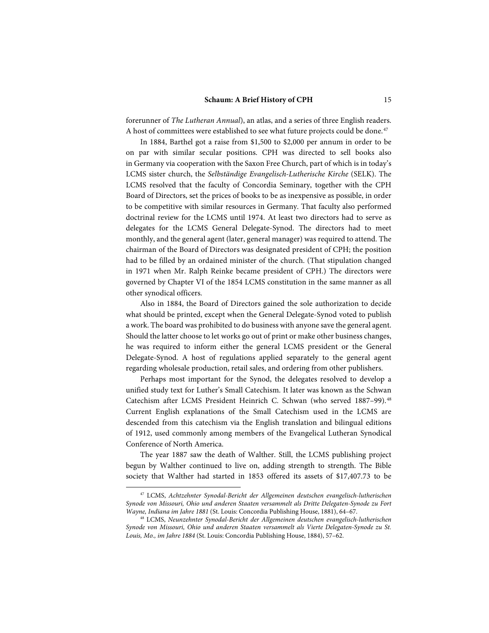forerunner of *The Lutheran Annual*), an atlas, and a series of three English readers. A host of committees were established to see what future projects could be done.<sup>[47](#page-14-0)</sup>

In 1884, Barthel got a raise from \$1,500 to \$2,000 per annum in order to be on par with similar secular positions. CPH was directed to sell books also in Germany via cooperation with the Saxon Free Church, part of which is in today's LCMS sister church, the *Selbständige Evangelisch-Lutherische Kirche* (SELK). The LCMS resolved that the faculty of Concordia Seminary, together with the CPH Board of Directors, set the prices of books to be as inexpensive as possible, in order to be competitive with similar resources in Germany. That faculty also performed doctrinal review for the LCMS until 1974. At least two directors had to serve as delegates for the LCMS General Delegate-Synod. The directors had to meet monthly, and the general agent (later, general manager) was required to attend. The chairman of the Board of Directors was designated president of CPH; the position had to be filled by an ordained minister of the church. (That stipulation changed in 1971 when Mr. Ralph Reinke became president of CPH.) The directors were governed by Chapter VI of the 1854 LCMS constitution in the same manner as all other synodical officers.

Also in 1884, the Board of Directors gained the sole authorization to decide what should be printed, except when the General Delegate-Synod voted to publish a work. The board was prohibited to do business with anyone save the general agent. Should the latter choose to let works go out of print or make other business changes, he was required to inform either the general LCMS president or the General Delegate-Synod. A host of regulations applied separately to the general agent regarding wholesale production, retail sales, and ordering from other publishers.

Perhaps most important for the Synod, the delegates resolved to develop a unified study text for Luther's Small Catechism. It later was known as the Schwan Catechism after LCMS President Heinrich C. Schwan (who served 1887–99).[48](#page-14-1) Current English explanations of the Small Catechism used in the LCMS are descended from this catechism via the English translation and bilingual editions of 1912, used commonly among members of the Evangelical Lutheran Synodical Conference of North America.

The year 1887 saw the death of Walther. Still, the LCMS publishing project begun by Walther continued to live on, adding strength to strength. The Bible society that Walther had started in 1853 offered its assets of \$17,407.73 to be

<span id="page-14-0"></span><sup>47</sup> LCMS, *Achtzehnter Synodal-Bericht der Allgemeinen deutschen evangelisch-lutherischen Synode von Missouri, Ohio und anderen Staaten versammelt als Dritte Delegaten-Synode zu Fort Wayne, Indiana im Jahre 1881* (St. Louis: Concordia Publishing House, 1881), 64–67.

<span id="page-14-1"></span><sup>48</sup> LCMS, *Neunzehnter Synodal-Bericht der Allgemeinen deutschen evangelisch-lutherischen Synode von Missouri, Ohio und anderen Staaten versammelt als Vierte Delegaten-Synode zu St. Louis, Mo., im Jahre 1884* (St. Louis: Concordia Publishing House, 1884), 57–62.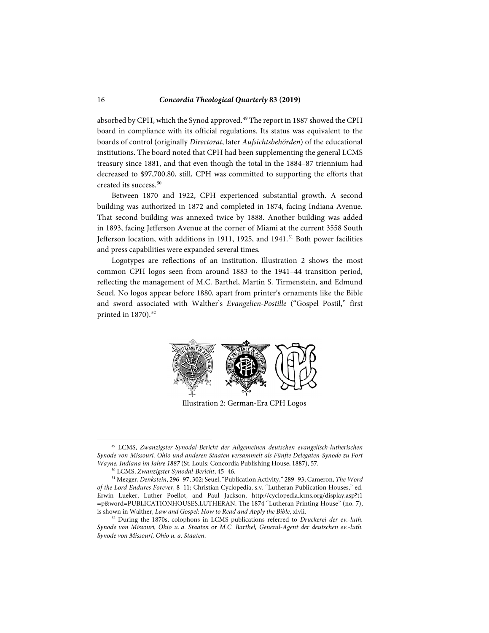absorbed by CPH, which the Synod approved.[49](#page-15-0) The report in 1887 showed the CPH board in compliance with its official regulations. Its status was equivalent to the boards of control (originally *Directorat*, later *Aufsichtsbehörden*) of the educational institutions. The board noted that CPH had been supplementing the general LCMS treasury since 1881, and that even though the total in the 1884–87 triennium had decreased to \$97,700.80, still, CPH was committed to supporting the efforts that created its success.<sup>[50](#page-15-1)</sup>

Between 1870 and 1922, CPH experienced substantial growth. A second building was authorized in 1872 and completed in 1874, facing Indiana Avenue. That second building was annexed twice by 1888. Another building was added in 1893, facing Jefferson Avenue at the corner of Miami at the current 3558 South Jefferson location, with additions in 1911, 1925, and 1941.<sup>[51](#page-15-2)</sup> Both power facilities and press capabilities were expanded several times.

Logotypes are reflections of an institution. Illustration 2 shows the most common CPH logos seen from around 1883 to the 1941–44 transition period, reflecting the management of M.C. Barthel, Martin S. Tirmenstein, and Edmund Seuel. No logos appear before 1880, apart from printer's ornaments like the Bible and sword associated with Walther's *Evangelien-Postille* ("Gospel Postil," first printed in  $1870$ ).<sup>[52](#page-15-3)</sup>



Illustration 2: German-Era CPH Logos

<span id="page-15-0"></span><sup>49</sup> LCMS, *Zwanzigster Synodal-Bericht der Allgemeinen deutschen evangelisch-lutherischen Synode von Missouri, Ohio und anderen Staaten versammelt als Fünfte Delegaten-Synode zu Fort Wayne, Indiana im Jahre 1887* (St. Louis: Concordia Publishing House, 1887), 57.

<sup>50</sup> LCMS, *Zwanzigster Synodal-Bericht*, 45–46.

<span id="page-15-2"></span><span id="page-15-1"></span><sup>51</sup> Mezger, *Denkstein*, 296–97, 302; Seuel, "Publication Activity," 289–93; Cameron, *The Word of the Lord Endures Forever*, 8–11; Christian Cyclopedia, s.v. "Lutheran Publication Houses," ed. Erwin Lueker, Luther Poellot, and Paul Jackson, http://cyclopedia.lcms.org/display.asp?t1 =p&word=PUBLICATIONHOUSES.LUTHERAN. The 1874 "Lutheran Printing House" (no. 7), is shown in Walther, *Law and Gospel: How to Read and Apply the Bible*, xlvii.

<span id="page-15-3"></span><sup>&</sup>lt;sup>52</sup> During the 1870s, colophons in LCMS publications referred to *Druckerei der ev.-luth*. *Synode von Missouri, Ohio u. a. Staaten* or *M.C. Barthel, General-Agent der deutschen ev.-luth. Synode von Missouri, Ohio u. a. Staaten*.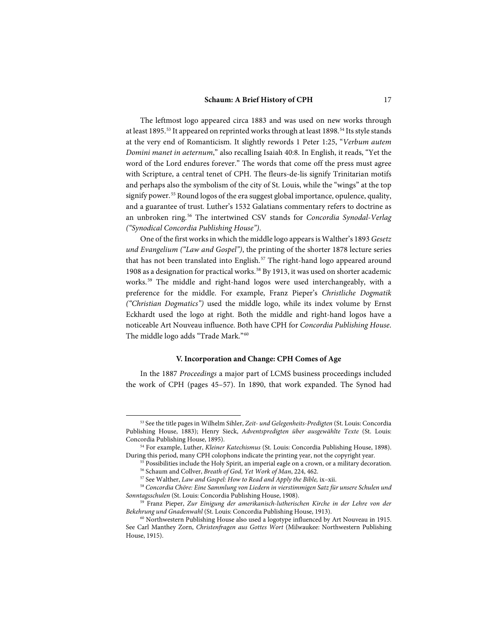The leftmost logo appeared circa 1883 and was used on new works through at least 1895.<sup>[53](#page-16-0)</sup> It appeared on reprinted works through at least 1898.<sup>[54](#page-16-1)</sup> Its style stands at the very end of Romanticism. It slightly rewords 1 Peter 1:25, "*Verbum autem Domini manet in aeternum*," also recalling Isaiah 40:8. In English, it reads, "Yet the word of the Lord endures forever." The words that come off the press must agree with Scripture, a central tenet of CPH. The fleurs-de-lis signify Trinitarian motifs and perhaps also the symbolism of the city of St. Louis, while the "wings" at the top signify power. [55](#page-16-2) Round logos of the era suggest global importance, opulence, quality, and a guarantee of trust. Luther's 1532 Galatians commentary refers to doctrine as an unbroken ring.[56](#page-16-3) The intertwined CSV stands for *Concordia Synodal-Verlag ("Synodical Concordia Publishing House")*.

One of the first works in which the middle logo appears is Walther's 1893 *Gesetz und Evangelium ("Law and Gospel")*, the printing of the shorter 1878 lecture series that has not been translated into English.<sup>[57](#page-16-4)</sup> The right-hand logo appeared around 1908 as a designation for practical works.[58](#page-16-5) By 1913, it was used on shorter academic works. [59](#page-16-6) The middle and right-hand logos were used interchangeably, with a preference for the middle. For example, Franz Pieper's *Christliche Dogmatik ("Christian Dogmatics")* used the middle logo, while its index volume by Ernst Eckhardt used the logo at right. Both the middle and right-hand logos have a noticeable Art Nouveau influence. Both have CPH for *Concordia Publishing House*. The middle logo adds "Trade Mark."[60](#page-16-7)

### **V. Incorporation and Change: CPH Comes of Age**

In the 1887 *Proceedings* a major part of LCMS business proceedings included the work of CPH (pages 45–57). In 1890, that work expanded. The Synod had

<span id="page-16-0"></span><sup>53</sup> See the title pages in Wilhelm Sihler, *Zeit- und Gelegenheits-Predigten* (St. Louis: Concordia Publishing House, 1883); Henry Sieck, *Adventspredigten über ausgewählte Texte* (St. Louis: Concordia Publishing House, 1895).

<span id="page-16-2"></span><span id="page-16-1"></span><sup>54</sup> For example, Luther, *Kleiner Katechismus* (St. Louis: Concordia Publishing House, 1898). During this period, many CPH colophons indicate the printing year, not the copyright year.

<sup>&</sup>lt;sup>55</sup> Possibilities include the Holy Spirit, an imperial eagle on a crown, or a military decoration.

<sup>56</sup> Schaum and Collver, *Breath of God, Yet Work of Man*, 224, 462.

<sup>57</sup> See Walther, *Law and Gospel: How to Read and Apply the Bible,* ix–xii.

<span id="page-16-5"></span><span id="page-16-4"></span><span id="page-16-3"></span><sup>58</sup> *Concordia Chöre: Eine Sammlung von Liedern in vierstimmigen Satz für unsere Schulen und Sonntagsschulen* (St. Louis: Concordia Publishing House, 1908).

<span id="page-16-6"></span><sup>59</sup> Franz Pieper, *Zur Einigung der amerikanisch-lutherischen Kirche in der Lehre von der Bekehrung und Gnadenwahl* (St. Louis: Concordia Publishing House, 1913).

<span id="page-16-7"></span><sup>&</sup>lt;sup>60</sup> Northwestern Publishing House also used a logotype influenced by Art Nouveau in 1915. See Carl Manthey Zorn, *Christenfragen aus Gottes Wort* (Milwaukee: Northwestern Publishing House, 1915).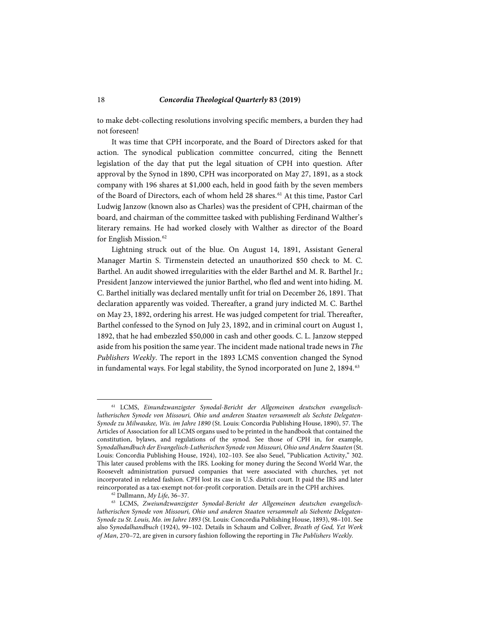to make debt-collecting resolutions involving specific members, a burden they had not foreseen!

It was time that CPH incorporate, and the Board of Directors asked for that action. The synodical publication committee concurred, citing the Bennett legislation of the day that put the legal situation of CPH into question. After approval by the Synod in 1890, CPH was incorporated on May 27, 1891, as a stock company with 196 shares at \$1,000 each, held in good faith by the seven members of the Board of Directors, each of whom held 28 shares. [61](#page-17-0) At this time, Pastor Carl Ludwig Janzow (known also as Charles) was the president of CPH, chairman of the board, and chairman of the committee tasked with publishing Ferdinand Walther's literary remains. He had worked closely with Walther as director of the Board for English Mission. $62$ 

Lightning struck out of the blue. On August 14, 1891, Assistant General Manager Martin S. Tirmenstein detected an unauthorized \$50 check to M. C. Barthel. An audit showed irregularities with the elder Barthel and M. R. Barthel Jr.; President Janzow interviewed the junior Barthel, who fled and went into hiding. M. C. Barthel initially was declared mentally unfit for trial on December 26, 1891. That declaration apparently was voided. Thereafter, a grand jury indicted M. C. Barthel on May 23, 1892, ordering his arrest. He was judged competent for trial. Thereafter, Barthel confessed to the Synod on July 23, 1892, and in criminal court on August 1, 1892, that he had embezzled \$50,000 in cash and other goods. C. L. Janzow stepped aside from his position the same year. The incident made national trade news in *The Publishers Weekly*. The report in the 1893 LCMS convention changed the Synod in fundamental ways. For legal stability, the Synod incorporated on June 2, 1894.<sup>[63](#page-17-2)</sup>

<span id="page-17-0"></span><sup>61</sup> LCMS, *Einundzwanzigster Synodal-Bericht der Allgemeinen deutschen evangelischlutherischen Synode von Missouri, Ohio und anderen Staaten versammelt als Sechste Delegaten-Synode zu Milwaukee, Wis. im Jahre 1890* (St. Louis: Concordia Publishing House, 1890), 57. The Articles of Association for all LCMS organs used to be printed in the handbook that contained the constitution, bylaws, and regulations of the synod. See those of CPH in, for example, S*ynodalhandbuch der Evangelisch-Lutherischen Synode von Missouri, Ohio und Andern Staaten* (St. Louis: Concordia Publishing House, 1924), 102–103. See also Seuel, "Publication Activity," 302. This later caused problems with the IRS. Looking for money during the Second World War, the Roosevelt administration pursued companies that were associated with churches, yet not incorporated in related fashion. CPH lost its case in U.S. district court. It paid the IRS and later reincorporated as a tax-exempt not-for-profit corporation. Details are in the CPH archives.

<sup>62</sup> Dallmann, *My Life*, 36–37.

<span id="page-17-2"></span><span id="page-17-1"></span><sup>63</sup> LCMS, *Zweiundzwanzigster Synodal-Bericht der Allgemeinen deutschen evangelischlutherischen Synode von Missouri, Ohio und anderen Staaten versammelt als Siebente Delegaten-Synode zu St. Louis, Mo. im Jahre 1893* (St. Louis: Concordia Publishing House, 1893), 98–101. See also S*ynodalhandbuch* (1924), 99–102. Details in Schaum and Collver, *Breath of God, Yet Work of Man*, 270–72, are given in cursory fashion following the reporting in *The Publishers Weekly.*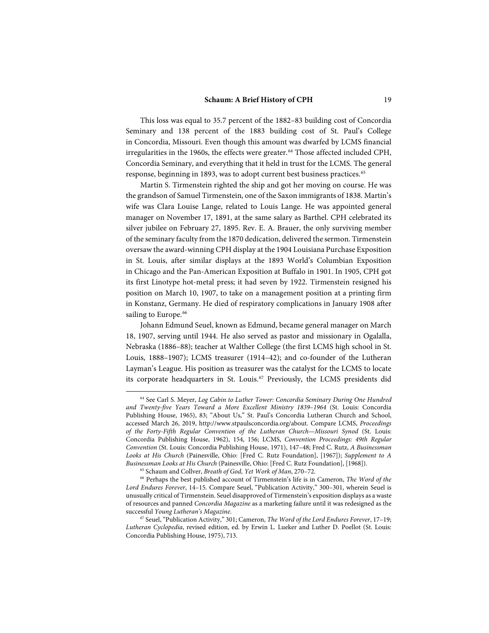This loss was equal to 35.7 percent of the 1882–83 building cost of Concordia Seminary and 138 percent of the 1883 building cost of St. Paul's College in Concordia, Missouri. Even though this amount was dwarfed by LCMS financial irregularities in the 1960s, the effects were greater.<sup>[64](#page-18-0)</sup> Those affected included CPH, Concordia Seminary, and everything that it held in trust for the LCMS. The general response, beginning in 1893, was to adopt current best business practices.<sup>[65](#page-18-1)</sup>

Martin S. Tirmenstein righted the ship and got her moving on course. He was the grandson of Samuel Tirmenstein, one of the Saxon immigrants of 1838. Martin's wife was Clara Louise Lange, related to Louis Lange. He was appointed general manager on November 17, 1891, at the same salary as Barthel. CPH celebrated its silver jubilee on February 27, 1895. Rev. E. A. Brauer, the only surviving member of the seminary faculty from the 1870 dedication, delivered the sermon. Tirmenstein oversaw the award-winning CPH display at the 1904 Louisiana Purchase Exposition in St. Louis, after similar displays at the 1893 World's Columbian Exposition in Chicago and the Pan-American Exposition at Buffalo in 1901. In 1905, CPH got its first Linotype hot-metal press; it had seven by 1922. Tirmenstein resigned his position on March 10, 1907, to take on a management position at a printing firm in Konstanz, Germany. He died of respiratory complications in January 1908 after sailing to Europe.<sup>[66](#page-18-2)</sup>

Johann Edmund Seuel, known as Edmund, became general manager on March 18, 1907, serving until 1944. He also served as pastor and missionary in Ogalalla, Nebraska (1886–88); teacher at Walther College (the first LCMS high school in St. Louis, 1888–1907); LCMS treasurer (1914–42); and co-founder of the Lutheran Layman's League. His position as treasurer was the catalyst for the LCMS to locate its corporate headquarters in St. Louis.<sup>[67](#page-18-3)</sup> Previously, the LCMS presidents did

<span id="page-18-0"></span><sup>64</sup> See Carl S. Meyer, *Log Cabin to Luther Tower: Concordia Seminary During One Hundred and Twenty-five Years Toward a More Excellent Ministry 1839–1964* (St. Louis: Concordia Publishing House, 1965), 83; "About Us," St. Paul's Concordia Lutheran Church and School, accessed March 26, 2019, http://www.stpaulsconcordia.org/about. Compare LCMS, *Proceedings of the Forty-Fifth Regular Convention of the Lutheran Church—Missouri Synod* (St. Louis: Concordia Publishing House, 1962), 154, 156; LCMS, *Convention Proceedings: 49th Regular Convention* (St. Louis: Concordia Publishing House, 1971), 147–48; Fred C. Rutz, *A Businessman Looks at His Church* (Painesville, Ohio: [Fred C. Rutz Foundation], [1967]); *Supplement to A Businessman Looks at His Church* (Painesville, Ohio: [Fred C. Rutz Foundation], [1968]).

<sup>65</sup> Schaum and Collver, *Breath of God, Yet Work of Man*, 270–72.

<span id="page-18-2"></span><span id="page-18-1"></span><sup>66</sup> Perhaps the best published account of Tirmenstein's life is in Cameron, *The Word of the Lord Endures Forever*, 14–15. Compare Seuel, "Publication Activity," 300–301, wherein Seuel is unusually critical of Tirmenstein. Seuel disapproved of Tirmenstein's exposition displays as a waste of resources and panned *Concordia Magazine* as a marketing failure until it was redesigned as the successful *Young Lutheran's Magazine*.

<span id="page-18-3"></span><sup>67</sup> Seuel, "Publication Activity," 301; Cameron, *The Word of the Lord Endures Forever*, 17–19; *Lutheran Cyclopedia*, revised edition, ed. by Erwin L. Lueker and Luther D. Poellot (St. Louis: Concordia Publishing House, 1975), 713.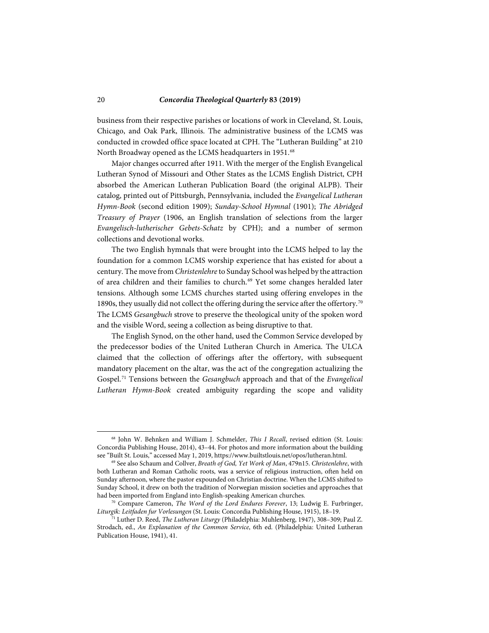business from their respective parishes or locations of work in Cleveland, St. Louis, Chicago, and Oak Park, Illinois. The administrative business of the LCMS was conducted in crowded office space located at CPH. The "Lutheran Building" at 210 North Broadway opened as the LCMS headquarters in 1951.<sup>[68](#page-19-0)</sup>

Major changes occurred after 1911. With the merger of the English Evangelical Lutheran Synod of Missouri and Other States as the LCMS English District, CPH absorbed the American Lutheran Publication Board (the original ALPB). Their catalog, printed out of Pittsburgh, Pennsylvania, included the *Evangelical Lutheran Hymn-Book* (second edition 1909); *Sunday-School Hymnal* (1901); *The Abridged Treasury of Prayer* (1906, an English translation of selections from the larger *Evangelisch-lutherischer Gebets-Schatz* by CPH); and a number of sermon collections and devotional works.

The two English hymnals that were brought into the LCMS helped to lay the foundation for a common LCMS worship experience that has existed for about a century. The move from *Christenlehre* to Sunday School was helped by the attraction of area children and their families to church.<sup>[69](#page-19-1)</sup> Yet some changes heralded later tensions. Although some LCMS churches started using offering envelopes in the 1890s, they usually did not collect the offering during the service after the offertory.<sup>[70](#page-19-2)</sup> The LCMS *Gesangbuch* strove to preserve the theological unity of the spoken word and the visible Word, seeing a collection as being disruptive to that.

The English Synod, on the other hand, used the Common Service developed by the predecessor bodies of the United Lutheran Church in America. The ULCA claimed that the collection of offerings after the offertory, with subsequent mandatory placement on the altar, was the act of the congregation actualizing the Gospel.[71](#page-19-3) Tensions between the *Gesangbuch* approach and that of the *Evangelical Lutheran Hymn-Book* created ambiguity regarding the scope and validity

<span id="page-19-0"></span><sup>68</sup> John W. Behnken and William J. Schmelder, *This I Recall*, revised edition (St. Louis: Concordia Publishing House, 2014), 43–44. For photos and more information about the building see "Built St. Louis," accessed May 1, 2019, https://www.builtstlouis.net/opos/lutheran.html.

<span id="page-19-1"></span><sup>69</sup> See also Schaum and Collver, *Breath of God, Yet Work of Man*, 479n15. *Christenlehre*, with both Lutheran and Roman Catholic roots, was a service of religious instruction, often held on Sunday afternoon, where the pastor expounded on Christian doctrine. When the LCMS shifted to Sunday School, it drew on both the tradition of Norwegian mission societies and approaches that had been imported from England into English-speaking American churches.

<span id="page-19-2"></span><sup>70</sup> Compare Cameron, *The Word of the Lord Endures Forever*, 13; Ludwig E. Furbringer, *Liturgik: Leitfaden fur Vorlesungen* (St. Louis: Concordia Publishing House, 1915), 18–19.

<span id="page-19-3"></span><sup>71</sup> Luther D. Reed, *The Lutheran Liturgy* (Philadelphia: Muhlenberg, 1947), 308–309; Paul Z. Strodach, ed., *An Explanation of the Common Service*, 6th ed. (Philadelphia: United Lutheran Publication House, 1941), 41.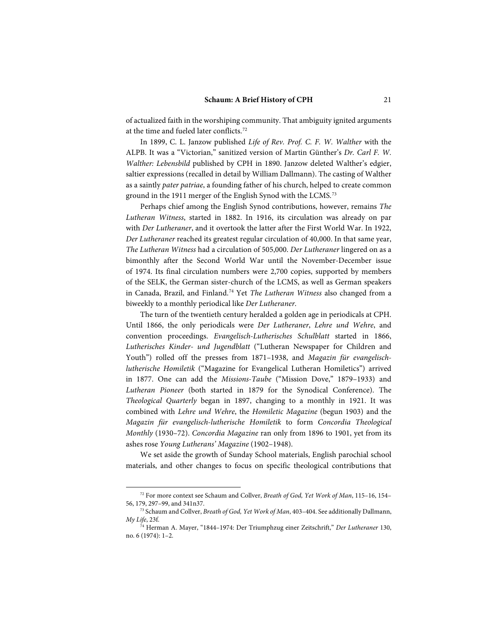of actualized faith in the worshiping community. That ambiguity ignited arguments at the time and fueled later conflicts.[72](#page-20-0)

In 1899, C. L. Janzow published *Life of Rev. Prof. C. F. W. Walther* with the ALPB. It was a "Victorian," sanitized version of Martin Günther's *Dr. Carl F. W. Walther: Lebensbild* published by CPH in 1890. Janzow deleted Walther's edgier, saltier expressions (recalled in detail by William Dallmann). The casting of Walther as a saintly *pater patriae*, a founding father of his church, helped to create common ground in the 1911 merger of the English Synod with the LCMS.<sup>[73](#page-20-1)</sup>

Perhaps chief among the English Synod contributions, however, remains *The Lutheran Witness*, started in 1882. In 1916, its circulation was already on par with *Der Lutheraner*, and it overtook the latter after the First World War. In 1922, *Der Lutheraner* reached its greatest regular circulation of 40,000. In that same year, *The Lutheran Witness* had a circulation of 505,000. *Der Lutheraner* lingered on as a bimonthly after the Second World War until the November-December issue of 1974. Its final circulation numbers were 2,700 copies, supported by members of the SELK, the German sister-church of the LCMS, as well as German speakers in Canada, Brazil, and Finland.[74](#page-20-2) Yet *The Lutheran Witness* also changed from a biweekly to a monthly periodical like *Der Lutheraner*.

The turn of the twentieth century heralded a golden age in periodicals at CPH. Until 1866, the only periodicals were *Der Lutheraner*, *Lehre und Wehre*, and convention proceedings. *Evangelisch-Lutherisches Schulblatt* started in 1866, *Lutherisches Kinder- und Jugendblatt* ("Lutheran Newspaper for Children and Youth") rolled off the presses from 1871–1938, and *Magazin für evangelischlutherische Homiletik* ("Magazine for Evangelical Lutheran Homiletics") arrived in 1877. One can add the *Missions-Taube* ("Mission Dove," 1879–1933) and *Lutheran Pioneer* (both started in 1879 for the Synodical Conference). The *Theological Quarterly* began in 1897, changing to a monthly in 1921. It was combined with *Lehre und Wehre*, the *Homiletic Magazine* (begun 1903) and the *Magazin für evangelisch-lutherische Homiletik* to form *Concordia Theological Monthly* (1930–72). *Concordia Magazine* ran only from 1896 to 1901, yet from its ashes rose *Young Lutherans' Magazine* (1902–1948).

We set aside the growth of Sunday School materials, English parochial school materials, and other changes to focus on specific theological contributions that

<span id="page-20-0"></span><sup>72</sup> For more context see Schaum and Collver, *Breath of God, Yet Work of Man*, 115–16, 154– 56, 179, 297–99, and 341n37.

<sup>73</sup> Schaum and Collver, *Breath of God, Yet Work of Man*, 403–404. See additionally Dallmann, *My Life*, 23f.

<span id="page-20-2"></span><span id="page-20-1"></span><sup>74</sup> Herman A. Mayer, "1844–1974: Der Triumphzug einer Zeitschrift," *Der Lutheraner* 130, no. 6 (1974): 1–2.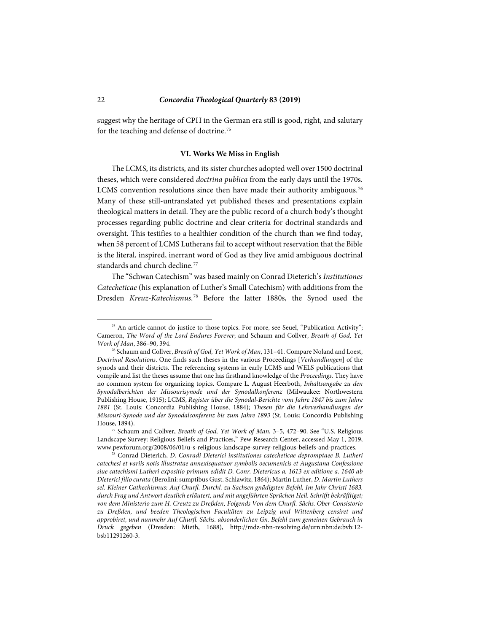suggest why the heritage of CPH in the German era still is good, right, and salutary for the teaching and defense of doctrine.<sup>[75](#page-21-0)</sup>

#### **VI. Works We Miss in English**

The LCMS, its districts, and its sister churches adopted well over 1500 doctrinal theses, which were considered *doctrina publica* from the early days until the 1970s. LCMS convention resolutions since then have made their authority ambiguous.<sup>[76](#page-21-1)</sup> Many of these still-untranslated yet published theses and presentations explain theological matters in detail. They are the public record of a church body's thought processes regarding public doctrine and clear criteria for doctrinal standards and oversight. This testifies to a healthier condition of the church than we find today, when 58 percent of LCMS Lutherans fail to accept without reservation that the Bible is the literal, inspired, inerrant word of God as they live amid ambiguous doctrinal standards and church decline.<sup>[77](#page-21-2)</sup>

The "Schwan Catechism" was based mainly on Conrad Dieterich's *Institutiones Catecheticae* (his explanation of Luther's Small Catechism) with additions from the Dresden *Kreuz-Katechismus*. [78](#page-21-3) Before the latter 1880s, the Synod used the

<span id="page-21-0"></span><sup>&</sup>lt;sup>75</sup> An article cannot do justice to those topics. For more, see Seuel, "Publication Activity"; Cameron, *The Word of the Lord Endures Forever*; and Schaum and Collver, *Breath of God, Yet Work of Man*, 386–90, 394.

<span id="page-21-1"></span><sup>76</sup> Schaum and Collver, *Breath of God, Yet Work of Man*, 131–41. Compare Noland and Loest, *Doctrinal Resolutions*. One finds such theses in the various Proceedings [*Verhandlungen*] of the synods and their districts. The referencing systems in early LCMS and WELS publications that compile and list the theses assume that one has firsthand knowledge of the *Proceedings.* They have no common system for organizing topics. Compare L. August Heerboth, *Inhaltsangabe zu den Synodalberichten der Missourisynode und der Synodalkonferenz* (Milwaukee: Northwestern Publishing House, 1915); LCMS, *Register über die Synodal-Berichte vom Jahre 1847 bis zum Jahre 1881* (St. Louis: Concordia Publishing House, 1884); *Thesen für die Lehrverhandlungen der Missouri-Synode und der Synodalconferenz bis zum Jahre 1893* (St. Louis: Concordia Publishing House, 1894).

<span id="page-21-2"></span><sup>77</sup> Schaum and Collver, *Breath of God, Yet Work of Man*, 3–5, 472–90. See "U.S. Religious Landscape Survey: Religious Beliefs and Practices," Pew Research Center, accessed May 1, 2019, www.pewforum.org/2008/06/01/u-s-religious-landscape-survey-religious-beliefs-and-practices.

<span id="page-21-3"></span><sup>78</sup> Conrad Dieterich, *D. Conradi Dieterici institutiones catecheticae depromptaee B. Lutheri catechesi et variis notis illustratae annexisquatuor symbolis oecumenicis et Augustana Confessione siue catechismi Lutheri expositio primum edidit D. Conr. Dietericus a. 1613 ex editione a. 1640 ab Dieterici filio curata* (Berolini: sumptibus Gust. Schlawitz, 1864); Martin Luther, *D. Martin Luthers sel. Kleiner Cathechismus: Auf Churfl. Durchl. zu Sachsen gnädigsten Befehl, Im Jahr Christi 1683. durch Frag und Antwort deutlich erläutert, und mit angeführten Sprüchen Heil. Schrifft bekräfftiget; von dem Ministerio zum H. Creutz zu Dreßden, Folgends Von dem Churfl. Sächs. Ober-Consistorio zu Dreßden, und beeden Theologischen Facultäten zu Leipzig und Wittenberg censiret und approbiret, und nunmehr Auf Churfl. Sächs. absonderlichen Gn. Befehl zum gemeinen Gebrauch in Druck gegeben* (Dresden: Mieth, 1688), http://mdz-nbn-resolving.de/urn:nbn:de:bvb:12 bsb11291260-3.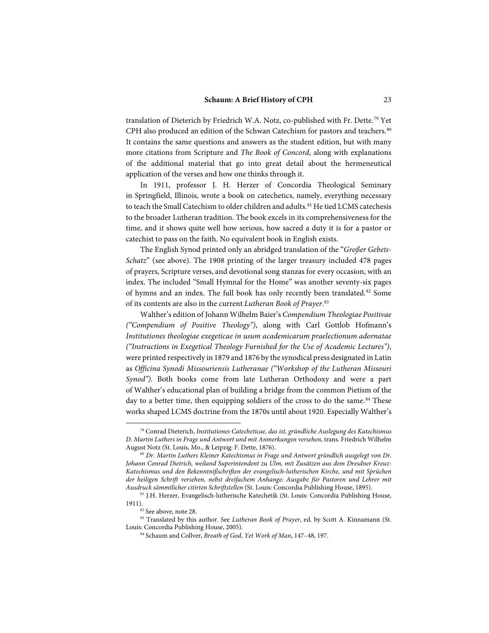translation of Dieterich by Friedrich W.A. Notz, co-published with Fr. Dette.[79](#page-22-0) Yet CPH also produced an edition of the Schwan Catechism for pastors and teachers.<sup>[80](#page-22-1)</sup> It contains the same questions and answers as the student edition, but with many more citations from Scripture and *The Book of Concord*, along with explanations of the additional material that go into great detail about the hermeneutical application of the verses and how one thinks through it.

In 1911, professor J. H. Herzer of Concordia Theological Seminary in Springfield, Illinois, wrote a book on catechetics, namely, everything necessary to teach the Small Catechism to older children and adults.<sup>[81](#page-22-2)</sup> He tied LCMS catechesis to the broader Lutheran tradition. The book excels in its comprehensiveness for the time, and it shows quite well how serious, how sacred a duty it is for a pastor or catechist to pass on the faith. No equivalent book in English exists.

The English Synod printed only an abridged translation of the "*Großer Gebets-Schatz*" (see above). The 1908 printing of the larger treasury included 478 pages of prayers, Scripture verses, and devotional song stanzas for every occasion, with an index. The included "Small Hymnal for the Home" was another seventy-six pages of hymns and an index. The full book has only recently been translated.<sup>[82](#page-22-3)</sup> Some of its contents are also in the current *Lutheran Book of Prayer*. [83](#page-22-4)

Walther's edition of Johann Wilhelm Baier's *Compendium Theologiae Positivae ("Compendium of Positive Theology")*, along with Carl Gottlob Hofmann's *Institutiones theologiae exegeticae in usum academicarum praelectionum adornatae ("Instructions in Exegetical Theology Furnished for the Use of Academic Lectures")*, were printed respectively in 1879 and 1876 by the synodical press designated in Latin as *Officina Synodi Missouriensis Lutheranae ("Workshop of the Lutheran Missouri Synod")*. Both books come from late Lutheran Orthodoxy and were a part of Walther's educational plan of building a bridge from the common Pietism of the day to a better time, then equipping soldiers of the cross to do the same.<sup>[84](#page-22-5)</sup> These works shaped LCMS doctrine from the 1870s until about 1920. Especially Walther's

<span id="page-22-0"></span><sup>79</sup> Conrad Dieterich, *Institutiones Catecheticae, das ist, gründliche Auslegung des Katechismus D. Martin Luthers in Frage und Antwort und mit Anmerkungen versehen*, trans. Friedrich Wilhelm August Notz (St. Louis, Mo., & Leipzig: F. Dette, 1876).

<span id="page-22-1"></span><sup>80</sup> *Dr. Martin Luthers Kleiner Katechismus in Frage und Antwort gründlich ausgelegt von Dr. Johann Conrad Dietrich, weiland Superintendent zu Ulm, mit Zusätzen aus dem Dresdner Kreuz-Katechismus und den Bekenntnißschriften der evangelisch-lutherischen Kirche, und mit Sprüchen der heiligen Schrift versehen, nebst dreifachem Anhange: Ausgabe für Pastoren und Lehrer mit Ausdruck sämmtlicher citirten Schriftstellen* (St. Louis: Concordia Publishing House, 1895).

<span id="page-22-2"></span><sup>81</sup> J.H. Herzer, Evangelisch-lutherische Katechetik (St. Louis: Concordia Publishing House, 1911).  $82$  See above, note 28.

<span id="page-22-5"></span><span id="page-22-4"></span><span id="page-22-3"></span><sup>83</sup> Translated by this author. See *Lutheran Book of Prayer*, ed. by Scott A. Kinnamann (St. Louis: Concordia Publishing House, 2005).

<sup>84</sup> Schaum and Collver, *Breath of God, Yet Work of Man*, 147–48, 197.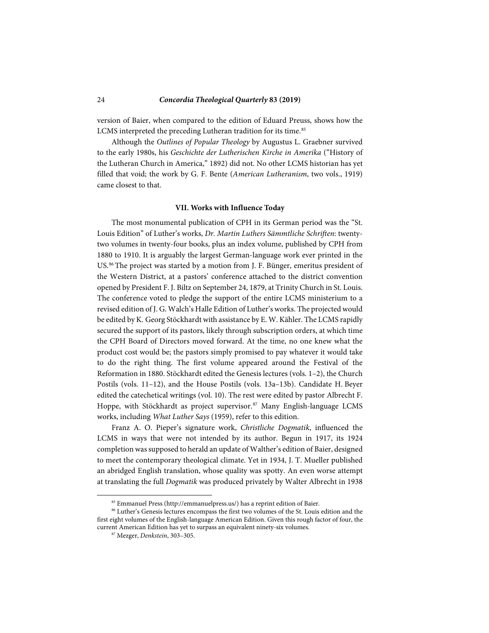version of Baier, when compared to the edition of Eduard Preuss, shows how the LCMS interpreted the preceding Lutheran tradition for its time.<sup>[85](#page-23-0)</sup>

Although the *Outlines of Popular Theology* by Augustus L. Graebner survived to the early 1980s, his *Geschichte der Lutherischen Kirche in Amerika* ("History of the Lutheran Church in America," 1892) did not. No other LCMS historian has yet filled that void; the work by G. F. Bente (*American Lutheranism*, two vols., 1919) came closest to that.

#### **VII. Works with Influence Today**

The most monumental publication of CPH in its German period was the "St. Louis Edition" of Luther's works, *Dr. Martin Luthers Sämmtliche Schriften*: twentytwo volumes in twenty-four books, plus an index volume, published by CPH from 1880 to 1910. It is arguably the largest German-language work ever printed in the US.[86](#page-23-1) The project was started by a motion from J. F. Bünger, emeritus president of the Western District, at a pastors' conference attached to the district convention opened by President F. J. Biltz on September 24, 1879, at Trinity Church in St. Louis. The conference voted to pledge the support of the entire LCMS ministerium to a revised edition of J. G. Walch's Halle Edition of Luther's works. The projected would be edited by K. Georg Stöckhardt with assistance by E. W. Kähler. The LCMS rapidly secured the support of its pastors, likely through subscription orders, at which time the CPH Board of Directors moved forward. At the time, no one knew what the product cost would be; the pastors simply promised to pay whatever it would take to do the right thing. The first volume appeared around the Festival of the Reformation in 1880. Stöckhardt edited the Genesis lectures (vols. 1–2), the Church Postils (vols. 11–12), and the House Postils (vols. 13a–13b). Candidate H. Beyer edited the catechetical writings (vol. 10). The rest were edited by pastor Albrecht F. Hoppe, with Stöckhardt as project supervisor.<sup>[87](#page-23-2)</sup> Many English-language LCMS works, including *What Luther Says* (1959), refer to this edition.

Franz A. O. Pieper's signature work, *Christliche Dogmatik*, influenced the LCMS in ways that were not intended by its author. Begun in 1917, its 1924 completion was supposed to herald an update of Walther's edition of Baier, designed to meet the contemporary theological climate. Yet in 1934, J. T. Mueller published an abridged English translation, whose quality was spotty. An even worse attempt at translating the full *Dogmatik* was produced privately by Walter Albrecht in 1938

<sup>85</sup> Emmanuel Press (http://emmanuelpress.us/) has a reprint edition of Baier.

<span id="page-23-2"></span><span id="page-23-1"></span><span id="page-23-0"></span><sup>86</sup> Luther's Genesis lectures encompass the first two volumes of the St. Louis edition and the first eight volumes of the English-language American Edition. Given this rough factor of four, the current American Edition has yet to surpass an equivalent ninety-six volumes.

<sup>87</sup> Mezger, *Denkstein*, 303–305.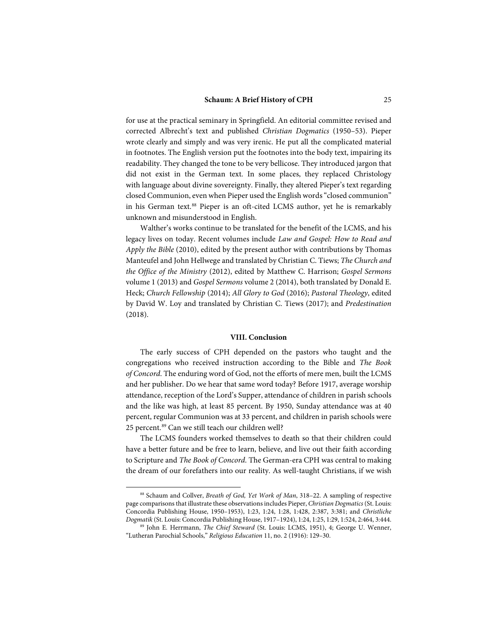for use at the practical seminary in Springfield. An editorial committee revised and corrected Albrecht's text and published *Christian Dogmatics* (1950–53). Pieper wrote clearly and simply and was very irenic. He put all the complicated material in footnotes. The English version put the footnotes into the body text, impairing its readability. They changed the tone to be very bellicose. They introduced jargon that did not exist in the German text. In some places, they replaced Christology with language about divine sovereignty. Finally, they altered Pieper's text regarding closed Communion, even when Pieper used the English words "closed communion" in his German text.<sup>[88](#page-24-0)</sup> Pieper is an oft-cited LCMS author, yet he is remarkably unknown and misunderstood in English.

Walther's works continue to be translated for the benefit of the LCMS, and his legacy lives on today. Recent volumes include *Law and Gospel: How to Read and Apply the Bible* (2010), edited by the present author with contributions by Thomas Manteufel and John Hellwege and translated by Christian C. Tiews; *The Church and the Office of the Ministry* (2012), edited by Matthew C. Harrison; *Gospel Sermons* volume 1 (2013) and *Gospel Sermons* volume 2 (2014), both translated by Donald E. Heck; *Church Fellowship* (2014); *All Glory to God* (2016); *Pastoral Theology*, edited by David W. Loy and translated by Christian C. Tiews (2017); and *Predestination* (2018).

### **VIII. Conclusion**

The early success of CPH depended on the pastors who taught and the congregations who received instruction according to the Bible and *The Book of Concord*. The enduring word of God, not the efforts of mere men, built the LCMS and her publisher. Do we hear that same word today? Before 1917, average worship attendance, reception of the Lord's Supper, attendance of children in parish schools and the like was high, at least 85 percent. By 1950, Sunday attendance was at 40 percent, regular Communion was at 33 percent, and children in parish schools were 25 percent.[89](#page-24-1) Can we still teach our children well?

The LCMS founders worked themselves to death so that their children could have a better future and be free to learn, believe, and live out their faith according to Scripture and *The Book of Concord*. The German-era CPH was central to making the dream of our forefathers into our reality. As well-taught Christians, if we wish

<span id="page-24-0"></span><sup>88</sup> Schaum and Collver, *Breath of God, Yet Work of Man*, 318–22. A sampling of respective page comparisons that illustrate these observations includes Pieper, *Christian Dogmatics* (St. Louis: Concordia Publishing House, 1950–1953), 1:23, 1:24, 1:28, 1:428, 2:387, 3:381; and *Christliche Dogmatik* (St. Louis: Concordia Publishing House, 1917–1924), 1:24, 1:25, 1:29, 1:524, 2:464, 3:444.

<span id="page-24-1"></span><sup>89</sup> John E. Herrmann, *The Chief Steward* (St. Louis: LCMS, 1951), 4; George U. Wenner, "Lutheran Parochial Schools," *Religious Education* 11, no. 2 (1916): 129–30.